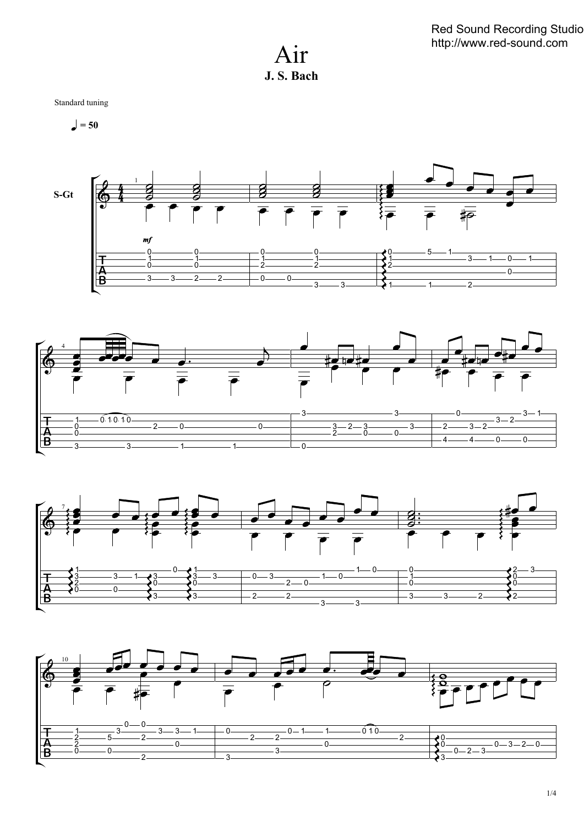Air **J. S. Bach**

Standard tuning

 $= 50$ 







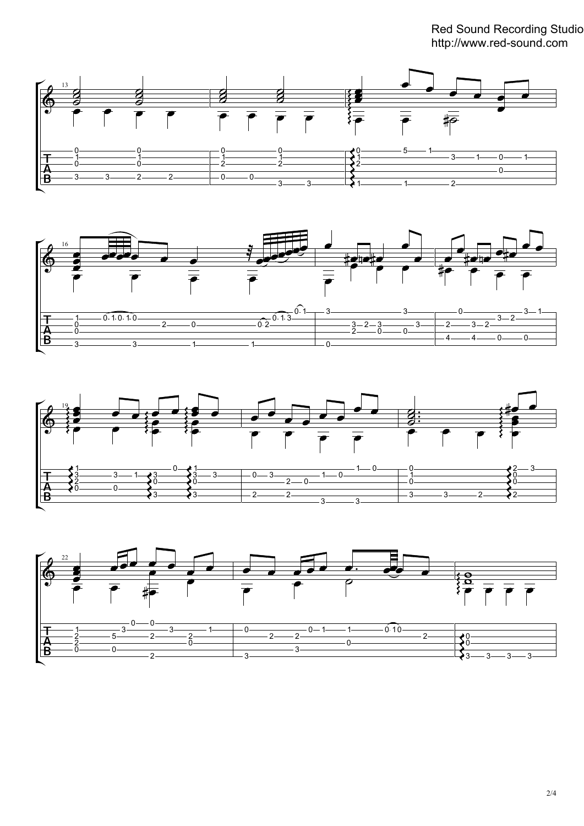Red Sound Recording Studio http://www.red-sound.com







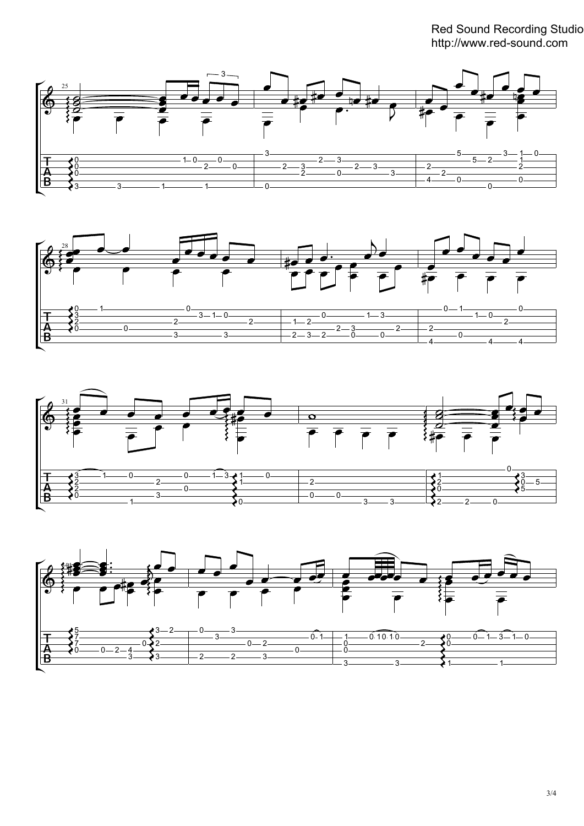Red Sound Recording Studio http://www.red-sound.com